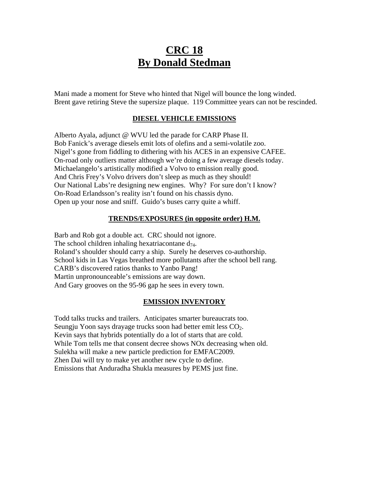# **CRC 18 By Donald Stedman**

Mani made a moment for Steve who hinted that Nigel will bounce the long winded. Brent gave retiring Steve the supersize plaque. 119 Committee years can not be rescinded.

#### **DIESEL VEHICLE EMISSIONS**

Alberto Ayala, adjunct @ WVU led the parade for CARP Phase II. Bob Fanick's average diesels emit lots of olefins and a semi-volatile zoo. Nigel's gone from fiddling to dithering with his ACES in an expensive CAFEE. On-road only outliers matter although we're doing a few average diesels today. Michaelangelo's artistically modified a Volvo to emission really good. And Chris Frey's Volvo drivers don't sleep as much as they should! Our National Labs're designing new engines. Why? For sure don't I know? On-Road Erlandsson's reality isn't found on his chassis dyno. Open up your nose and sniff. Guido's buses carry quite a whiff.

### **TRENDS/EXPOSURES (in opposite order) H.M.**

Barb and Rob got a double act. CRC should not ignore. The school children inhaling hexatriacontane  $d_{74}$ . Roland's shoulder should carry a ship. Surely he deserves co-authorship. School kids in Las Vegas breathed more pollutants after the school bell rang. CARB's discovered ratios thanks to Yanbo Pang! Martin unpronounceable's emissions are way down. And Gary grooves on the 95-96 gap he sees in every town.

#### **EMISSION INVENTORY**

Todd talks trucks and trailers. Anticipates smarter bureaucrats too. Seungju Yoon says drayage trucks soon had better emit less CO<sub>2</sub>. Kevin says that hybrids potentially do a lot of starts that are cold. While Tom tells me that consent decree shows NOx decreasing when old. Sulekha will make a new particle prediction for EMFAC2009. Zhen Dai will try to make yet another new cycle to define. Emissions that Anduradha Shukla measures by PEMS just fine.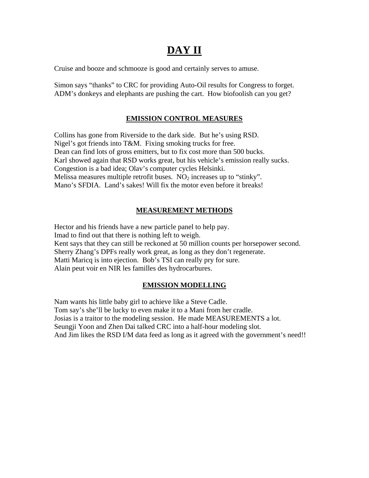# **DAY II**

Cruise and booze and schmooze is good and certainly serves to amuse.

Simon says "thanks" to CRC for providing Auto-Oil results for Congress to forget. ADM's donkeys and elephants are pushing the cart. How biofoolish can you get?

## **EMISSION CONTROL MEASURES**

Collins has gone from Riverside to the dark side. But he's using RSD. Nigel's got friends into T&M. Fixing smoking trucks for free. Dean can find lots of gross emitters, but to fix cost more than 500 bucks. Karl showed again that RSD works great, but his vehicle's emission really sucks. Congestion is a bad idea; Olav's computer cycles Helsinki. Melissa measures multiple retrofit buses.  $NO<sub>2</sub>$  increases up to "stinky". Mano's SFDIA. Land's sakes! Will fix the motor even before it breaks!

## **MEASUREMENT METHODS**

Hector and his friends have a new particle panel to help pay. Imad to find out that there is nothing left to weigh. Kent says that they can still be reckoned at 50 million counts per horsepower second. Sherry Zhang's DPFs really work great, as long as they don't regenerate. Matti Maricq is into ejection. Bob's TSI can really pry for sure. Alain peut voir en NIR les familles des hydrocarbures.

## **EMISSION MODELLING**

Nam wants his little baby girl to achieve like a Steve Cadle. Tom say's she'll be lucky to even make it to a Mani from her cradle. Josias is a traitor to the modeling session. He made MEASUREMENTS a lot. Seungji Yoon and Zhen Dai talked CRC into a half-hour modeling slot. And Jim likes the RSD I/M data feed as long as it agreed with the government's need!!